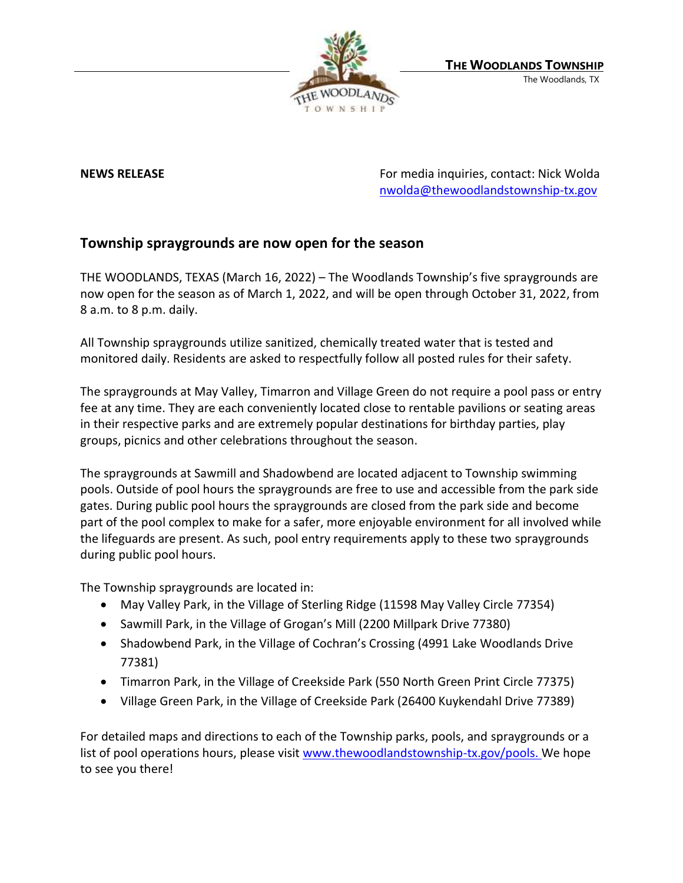

**NEWS RELEASE** For media inquiries, contact: Nick Wolda **NEWS** RELEASE [nwolda@thewoodlandstownship-tx.gov](mailto:nwolda@thewoodlandstownship-tx.gov)

## **Township spraygrounds are now open for the season**

THE WOODLANDS, TEXAS (March 16, 2022) – The Woodlands Township's five spraygrounds are now open for the season as of March 1, 2022, and will be open through October 31, 2022, from 8 a.m. to 8 p.m. daily.

All Township spraygrounds utilize sanitized, chemically treated water that is tested and monitored daily. Residents are asked to respectfully follow all posted rules for their safety.

The spraygrounds at May Valley, Timarron and Village Green do not require a pool pass or entry fee at any time. They are each conveniently located close to rentable pavilions or seating areas in their respective parks and are extremely popular destinations for birthday parties, play groups, picnics and other celebrations throughout the season.

The spraygrounds at Sawmill and Shadowbend are located adjacent to Township swimming pools. Outside of pool hours the spraygrounds are free to use and accessible from the park side gates. During public pool hours the spraygrounds are closed from the park side and become part of the pool complex to make for a safer, more enjoyable environment for all involved while the lifeguards are present. As such, pool entry requirements apply to these two spraygrounds during public pool hours.

The Township spraygrounds are located in:

- May Valley Park, in the Village of Sterling Ridge (11598 May Valley Circle 77354)
- Sawmill Park, in the Village of Grogan's Mill (2200 Millpark Drive 77380)
- Shadowbend Park, in the Village of Cochran's Crossing (4991 Lake Woodlands Drive 77381)
- Timarron Park, in the Village of Creekside Park (550 North Green Print Circle 77375)
- Village Green Park, in the Village of Creekside Park (26400 Kuykendahl Drive 77389)

For detailed maps and directions to each of the Township parks, pools, and spraygrounds or a list of pool operations hours, please visit [www.thewoodlandstownship-tx.gov/pools.](http://www.thewoodlandstownship-tx.gov/pools) We hope to see you there!